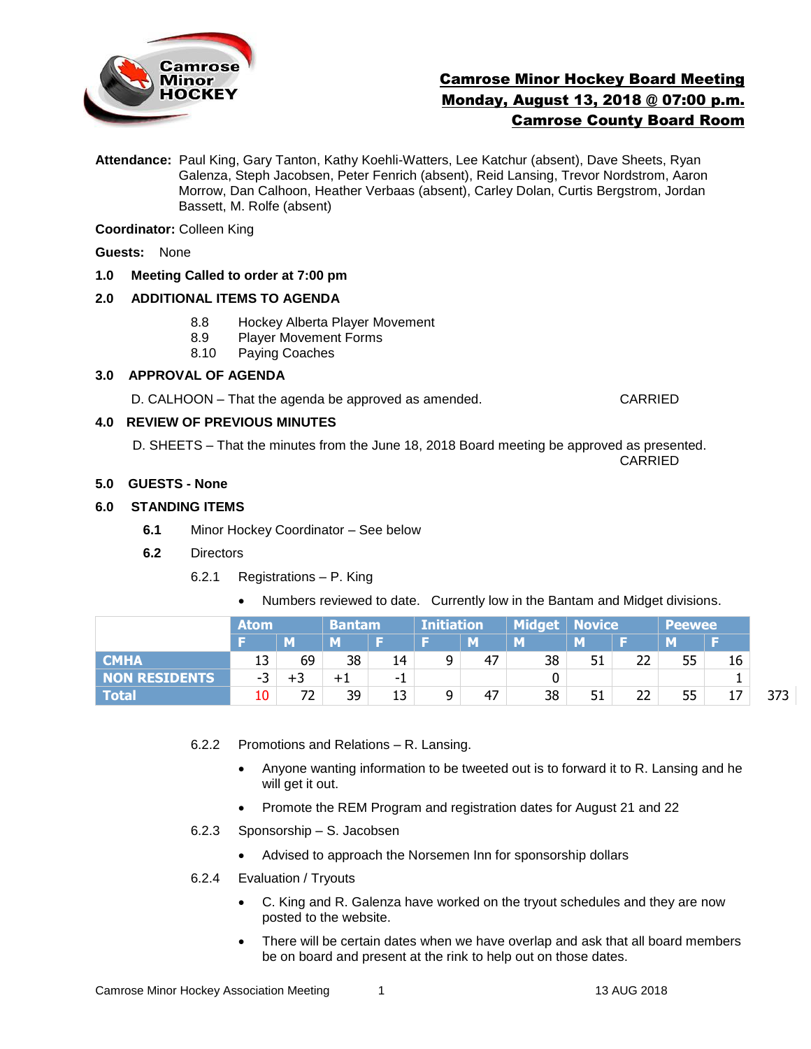

# Camrose Minor Hockey Board Meeting Monday, August 13, 2018 @ 07:00 p.m. Camrose County Board Room

**Attendance:** Paul King, Gary Tanton, Kathy Koehli-Watters, Lee Katchur (absent), Dave Sheets, Ryan Galenza, Steph Jacobsen, Peter Fenrich (absent), Reid Lansing, Trevor Nordstrom, Aaron Morrow, Dan Calhoon, Heather Verbaas (absent), Carley Dolan, Curtis Bergstrom, Jordan Bassett, M. Rolfe (absent)

**Coordinator:** Colleen King

**Guests:** None

# **1.0 Meeting Called to order at 7:00 pm**

# **2.0 ADDITIONAL ITEMS TO AGENDA**

- 8.8 Hockey Alberta Player Movement
- 8.9 Player Movement Forms
- 8.10 Paying Coaches

# **3.0 APPROVAL OF AGENDA**

D. CALHOON – That the agenda be approved as amended. CARRIED

# **4.0 REVIEW OF PREVIOUS MINUTES**

 D. SHEETS – That the minutes from the June 18, 2018 Board meeting be approved as presented. CARRIED

#### **5.0 GUESTS - None**

# **6.0 STANDING ITEMS**

- **6.1** Minor Hockey Coordinator See below
- **6.2** Directors
	- 6.2.1 Registrations P. King
		- Numbers reviewed to date. Currently low in the Bantam and Midget divisions.

|               | <b>Atom</b> |    | <b>Bantam</b> |     | Initiation |    |    | Midget   Novice |    | <b>Peewee</b> |    |     |
|---------------|-------------|----|---------------|-----|------------|----|----|-----------------|----|---------------|----|-----|
|               |             | M  | M             |     |            | M  | M  | м               |    | M             |    |     |
| <b>CMHA</b>   | 13          | 69 | 38            | 14  | 9          | 47 | 38 | 51              | 22 | 55            | 16 |     |
| NON RESIDENTS | -3          | +3 | $+1$          | - 1 |            |    |    |                 |    |               |    |     |
| <b>Total</b>  | 10          | רד | 39            | 13  | 9          | 47 | 38 | 51              | າາ | 55            | 17 | 373 |

- 6.2.2 Promotions and Relations R. Lansing.
	- Anyone wanting information to be tweeted out is to forward it to R. Lansing and he will get it out.
	- Promote the REM Program and registration dates for August 21 and 22
- 6.2.3 Sponsorship S. Jacobsen
	- Advised to approach the Norsemen Inn for sponsorship dollars
- 6.2.4 Evaluation / Tryouts
	- C. King and R. Galenza have worked on the tryout schedules and they are now posted to the website.
	- There will be certain dates when we have overlap and ask that all board members be on board and present at the rink to help out on those dates.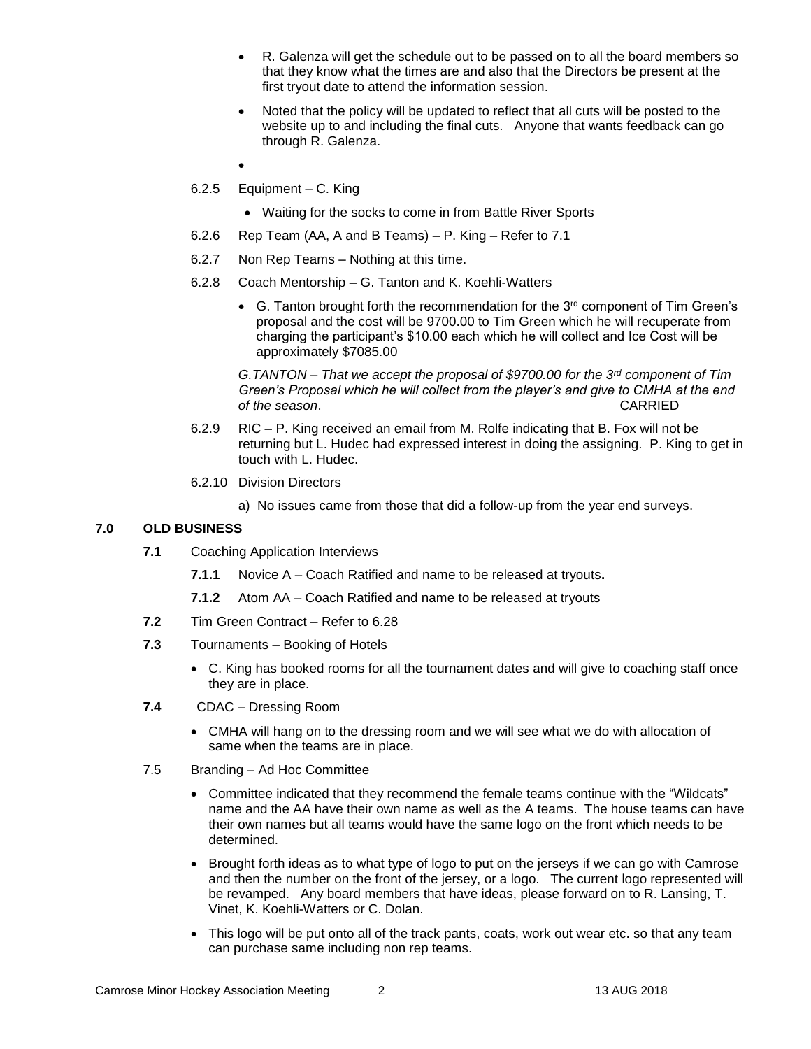- R. Galenza will get the schedule out to be passed on to all the board members so that they know what the times are and also that the Directors be present at the first tryout date to attend the information session.
- Noted that the policy will be updated to reflect that all cuts will be posted to the website up to and including the final cuts. Anyone that wants feedback can go through R. Galenza.
- $\bullet$
- 6.2.5 Equipment C. King
	- Waiting for the socks to come in from Battle River Sports
- 6.2.6 Rep Team (AA, A and B Teams) P. King Refer to 7.1
- 6.2.7 Non Rep Teams Nothing at this time.
- 6.2.8 Coach Mentorship G. Tanton and K. Koehli-Watters
	- G. Tanton brought forth the recommendation for the  $3<sup>rd</sup>$  component of Tim Green's proposal and the cost will be 9700.00 to Tim Green which he will recuperate from charging the participant's \$10.00 each which he will collect and Ice Cost will be approximately \$7085.00

*G.TANTON – That we accept the proposal of \$9700.00 for the 3rd component of Tim Green's Proposal which he will collect from the player's and give to CMHA at the end of the season*. CARRIED

- 6.2.9 RIC P. King received an email from M. Rolfe indicating that B. Fox will not be returning but L. Hudec had expressed interest in doing the assigning. P. King to get in touch with L. Hudec.
- 6.2.10 Division Directors
	- a) No issues came from those that did a follow-up from the year end surveys.

## **7.0 OLD BUSINESS**

- **7.1** Coaching Application Interviews
	- **7.1.1** Novice A Coach Ratified and name to be released at tryouts**.**
	- **7.1.2** Atom AA Coach Ratified and name to be released at tryouts
- **7.2** Tim Green Contract Refer to 6.28
- **7.3** Tournaments Booking of Hotels
	- C. King has booked rooms for all the tournament dates and will give to coaching staff once they are in place.
- **7.4** CDAC Dressing Room
	- CMHA will hang on to the dressing room and we will see what we do with allocation of same when the teams are in place.
- 7.5 Branding Ad Hoc Committee
	- Committee indicated that they recommend the female teams continue with the "Wildcats" name and the AA have their own name as well as the A teams. The house teams can have their own names but all teams would have the same logo on the front which needs to be determined.
	- Brought forth ideas as to what type of logo to put on the jerseys if we can go with Camrose and then the number on the front of the jersey, or a logo. The current logo represented will be revamped. Any board members that have ideas, please forward on to R. Lansing, T. Vinet, K. Koehli-Watters or C. Dolan.
	- This logo will be put onto all of the track pants, coats, work out wear etc. so that any team can purchase same including non rep teams.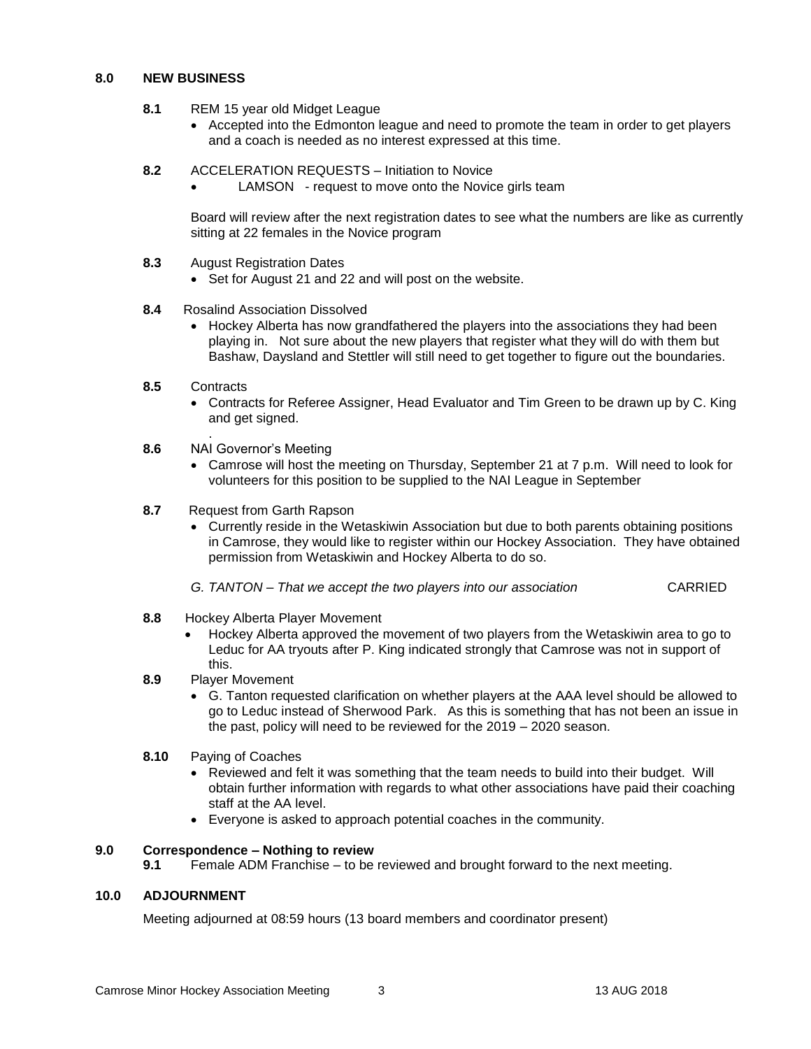#### **8.0 NEW BUSINESS**

- **8.1** REM 15 year old Midget League
	- Accepted into the Edmonton league and need to promote the team in order to get players and a coach is needed as no interest expressed at this time.
- **8.2** ACCELERATION REQUESTS Initiation to Novice

LAMSON - request to move onto the Novice girls team

Board will review after the next registration dates to see what the numbers are like as currently sitting at 22 females in the Novice program

- **8.3** August Registration Dates
	- Set for August 21 and 22 and will post on the website.
- **8.4** Rosalind Association Dissolved
	- Hockey Alberta has now grandfathered the players into the associations they had been playing in. Not sure about the new players that register what they will do with them but Bashaw, Daysland and Stettler will still need to get together to figure out the boundaries.
- **8.5** Contracts

.

- Contracts for Referee Assigner, Head Evaluator and Tim Green to be drawn up by C. King and get signed.
- **8.6** NAI Governor's Meeting
	- Camrose will host the meeting on Thursday, September 21 at 7 p.m. Will need to look for volunteers for this position to be supplied to the NAI League in September
- **8.7** Request from Garth Rapson
	- Currently reside in the Wetaskiwin Association but due to both parents obtaining positions in Camrose, they would like to register within our Hockey Association. They have obtained permission from Wetaskiwin and Hockey Alberta to do so.
	- *G. TANTON – That we accept the two players into our association* CARRIED
- **8.8** Hockey Alberta Player Movement
	- Hockey Alberta approved the movement of two players from the Wetaskiwin area to go to Leduc for AA tryouts after P. King indicated strongly that Camrose was not in support of this.
- **8.9** Player Movement
	- G. Tanton requested clarification on whether players at the AAA level should be allowed to go to Leduc instead of Sherwood Park. As this is something that has not been an issue in the past, policy will need to be reviewed for the 2019 – 2020 season.
- **8.10** Paying of Coaches
	- Reviewed and felt it was something that the team needs to build into their budget. Will obtain further information with regards to what other associations have paid their coaching staff at the AA level.
	- Everyone is asked to approach potential coaches in the community.

## **9.0 Correspondence – Nothing to review**

**9.1** Female ADM Franchise – to be reviewed and brought forward to the next meeting.

#### **10.0 ADJOURNMENT**

Meeting adjourned at 08:59 hours (13 board members and coordinator present)